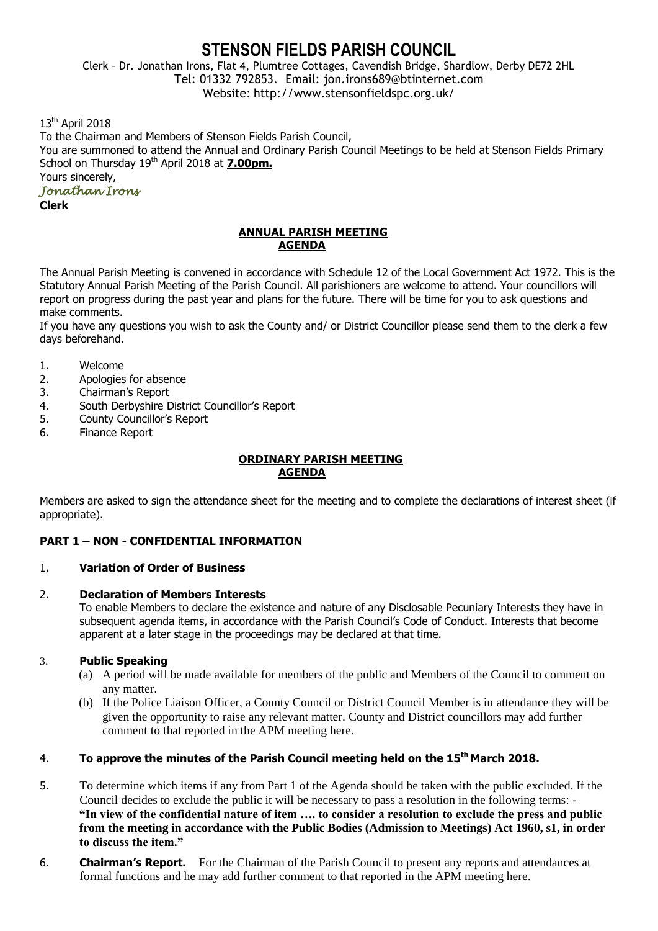# **STENSON FIELDS PARISH COUNCIL**

Clerk – Dr. Jonathan Irons, Flat 4, Plumtree Cottages, Cavendish Bridge, Shardlow, Derby DE72 2HL Tel: 01332 792853. Email: jon.irons689@btinternet.com Website: http://www.stensonfieldspc.org.uk/

13<sup>th</sup> April 2018

To the Chairman and Members of Stenson Fields Parish Council, You are summoned to attend the Annual and Ordinary Parish Council Meetings to be held at Stenson Fields Primary School on Thursday 19th April 2018 at **7.00pm.** Yours sincerely,

## *Jonathan Irons*

**Clerk**

#### **ANNUAL PARISH MEETING AGENDA**

The Annual Parish Meeting is convened in accordance with Schedule 12 of the Local Government Act 1972. This is the Statutory Annual Parish Meeting of the Parish Council. All parishioners are welcome to attend. Your councillors will report on progress during the past year and plans for the future. There will be time for you to ask questions and make comments.

If you have any questions you wish to ask the County and/ or District Councillor please send them to the clerk a few days beforehand.

- 1. Welcome
- 2. Apologies for absence
- 3. Chairman's Report
- 4. South Derbyshire District Councillor's Report
- 5. County Councillor's Report
- 6. Finance Report

#### **ORDINARY PARISH MEETING AGENDA**

Members are asked to sign the attendance sheet for the meeting and to complete the declarations of interest sheet (if appropriate).

## **PART 1 – NON - CONFIDENTIAL INFORMATION**

#### 1**. Variation of Order of Business**

#### 2. **Declaration of Members Interests**

To enable Members to declare the existence and nature of any Disclosable Pecuniary Interests they have in subsequent agenda items, in accordance with the Parish Council's Code of Conduct. Interests that become apparent at a later stage in the proceedings may be declared at that time.

#### 3. **Public Speaking**

- (a) A period will be made available for members of the public and Members of the Council to comment on any matter.
- (b) If the Police Liaison Officer, a County Council or District Council Member is in attendance they will be given the opportunity to raise any relevant matter. County and District councillors may add further comment to that reported in the APM meeting here.

# 4. **To approve the minutes of the Parish Council meeting held on the 15th March 2018.**

- 5. To determine which items if any from Part 1 of the Agenda should be taken with the public excluded. If the Council decides to exclude the public it will be necessary to pass a resolution in the following terms: - **"In view of the confidential nature of item …. to consider a resolution to exclude the press and public from the meeting in accordance with the Public Bodies (Admission to Meetings) Act 1960, s1, in order to discuss the item."**
- 6. **Chairman's Report.** For the Chairman of the Parish Council to present any reports and attendances at formal functions and he may add further comment to that reported in the APM meeting here.